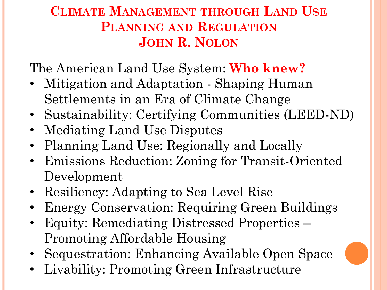#### **CLIMATE MANAGEMENT THROUGH LAND USE PLANNING AND REGULATION JOHN R. NOLON**

The American Land Use System: **Who knew?**

- Mitigation and Adaptation Shaping Human Settlements in an Era of Climate Change
- Sustainability: Certifying Communities (LEED-ND)
- Mediating Land Use Disputes
- Planning Land Use: Regionally and Locally
- Emissions Reduction: Zoning for Transit-Oriented Development
- Resiliency: Adapting to Sea Level Rise
- Energy Conservation: Requiring Green Buildings
- Equity: Remediating Distressed Properties Promoting Affordable Housing
- Sequestration: Enhancing Available Open Space
- Livability: Promoting Green Infrastructure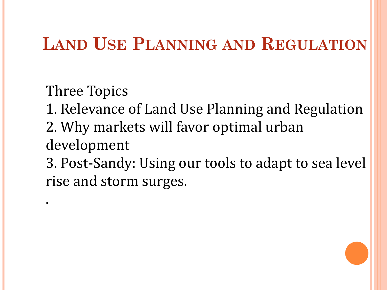### **LAND USE PLANNING AND REGULATION**

Three Topics

.

1. Relevance of Land Use Planning and Regulation

2. Why markets will favor optimal urban development

3. Post-Sandy: Using our tools to adapt to sea level rise and storm surges.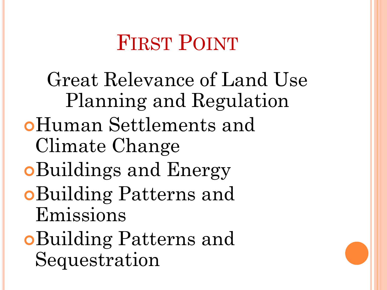# FIRST POINT

Great Relevance of Land Use Planning and Regulation Human Settlements and Climate Change Buildings and Energy Building Patterns and Emissions Building Patterns and Sequestration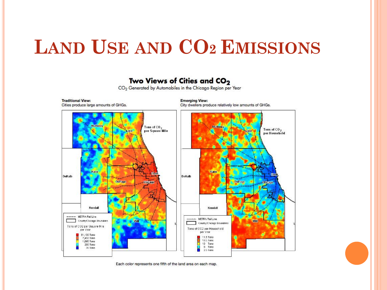# **LAND USE AND CO2 EMISSIONS**

#### Two Views of Cities and CO<sub>2</sub>

CO<sub>2</sub> Generated by Automobiles in the Chicago Region per Year



Each color represents one fifth of the land area on each map.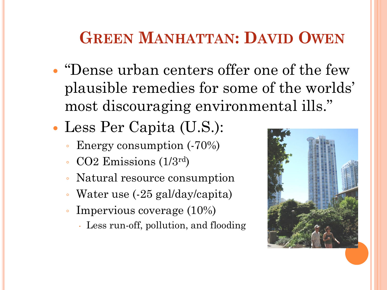### **GREEN MANHATTAN: DAVID OWEN**

- "Dense urban centers offer one of the few plausible remedies for some of the worlds' most discouraging environmental ills."
- Less Per Capita (U.S.):
	- Energy consumption (-70%)
	- CO2 Emissions (1/3rd)
	- Natural resource consumption
	- Water use (-25 gal/day/capita)
	- Impervious coverage (10%)
		- Less run-off, pollution, and flooding

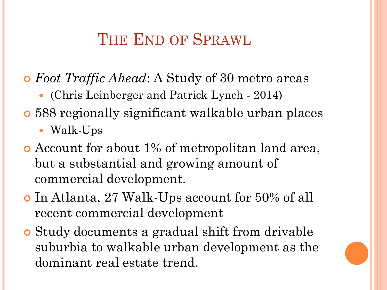### THE END OF SPRAWL

- *Foot Traffic Ahead*: A Study of 30 metro areas
	- (Chris Leinberger and Patrick Lynch 2014)
- 588 regionally significant walkable urban places
	- Walk-Ups
- Account for about 1% of metropolitan land area, but a substantial and growing amount of commercial development.
- In Atlanta, 27 Walk-Ups account for 50% of all recent commercial development
- Study documents a gradual shift from drivable suburbia to walkable urban development as the dominant real estate trend.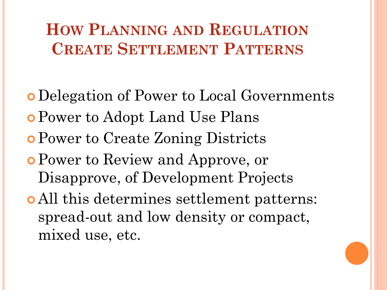### **HOW PLANNING AND REGULATION CREATE SETTLEMENT PATTERNS**

 Delegation of Power to Local Governments Power to Adopt Land Use Plans Power to Create Zoning Districts Power to Review and Approve, or Disapprove, of Development Projects All this determines settlement patterns: spread-out and low density or compact, mixed use, etc.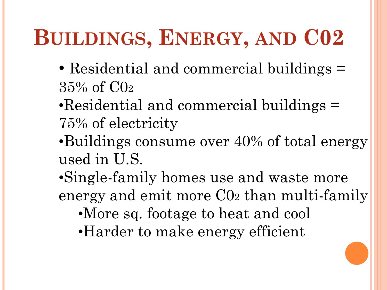# **BUILDINGS, ENERGY, AND C02**

- Residential and commercial buildings = 35% of C0<sup>2</sup>
- •Residential and commercial buildings = 75% of electricity
- •Buildings consume over 40% of total energy used in U.S.
- •Single-family homes use and waste more energy and emit more C0<sup>2</sup> than multi-family •More sq. footage to heat and cool •Harder to make energy efficient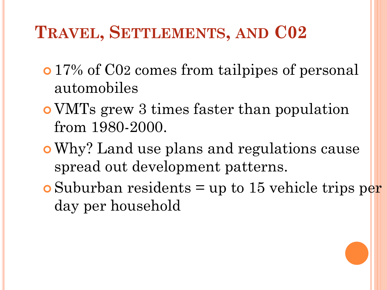### **TRAVEL, SETTLEMENTS, AND C02**

- **o** 17% of C02 comes from tailpipes of personal automobiles
- VMTs grew 3 times faster than population from 1980-2000.
- Why? Land use plans and regulations cause spread out development patterns.
- $\bullet$  Suburban residents = up to 15 vehicle trips per day per household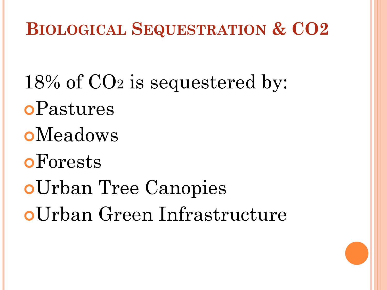## **BIOLOGICAL SEQUESTRATION & CO2**

18% of CO<sup>2</sup> is sequestered by: Pastures **o**Meadows **o**Forests Urban Tree Canopies Urban Green Infrastructure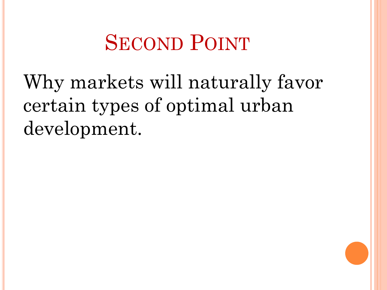# SECOND POINT

Why markets will naturally favor certain types of optimal urban development.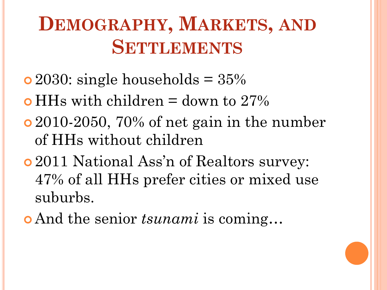# **DEMOGRAPHY, MARKETS, AND SETTLEMENTS**

- $\bullet$  2030: single households = 35%
- $\bullet$  HHs with children = down to 27%
- 2010-2050, 70% of net gain in the number of HHs without children
- 2011 National Ass'n of Realtors survey: 47% of all HHs prefer cities or mixed use suburbs.
- And the senior *tsunami* is coming…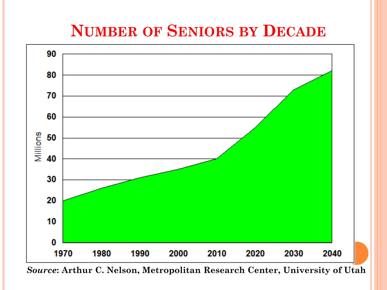### **NUMBER OF SENIORS BY DECADE**



*Source***: Arthur C. Nelson, Metropolitan Research Center, University of Utah**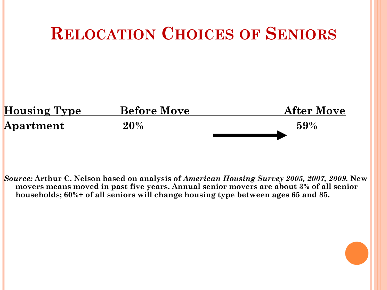

*Source:* **Arthur C. Nelson based on analysis of** *American Housing Survey 2005, 2007, 2009.* **New movers means moved in past five years. Annual senior movers are about 3% of all senior households; 60%+ of all seniors will change housing type between ages 65 and 85.**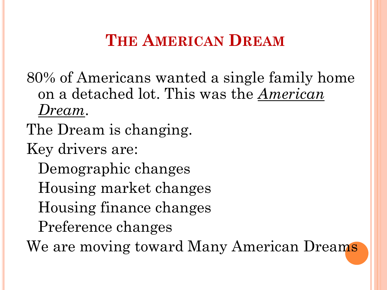### **THE AMERICAN DREAM**

80% of Americans wanted a single family home on a detached lot. This was the *American Dream*.

The Dream is changing.

Key drivers are:

Demographic changes

Housing market changes

Housing finance changes

Preference changes

We are moving toward Many American Dreams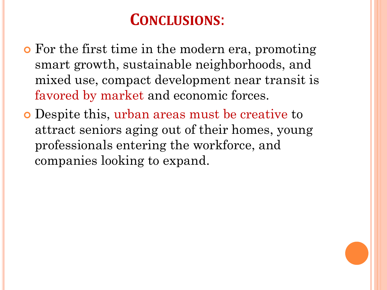### **CONCLUSIONS**:

- For the first time in the modern era, promoting smart growth, sustainable neighborhoods, and mixed use, compact development near transit is favored by market and economic forces.
- Despite this, urban areas must be creative to attract seniors aging out of their homes, young professionals entering the workforce, and companies looking to expand.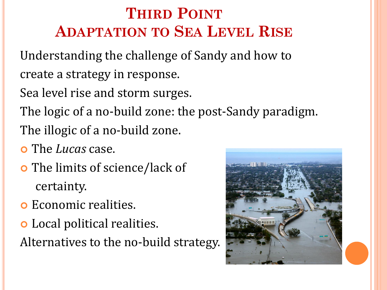### **THIRD POINT ADAPTATION TO SEA LEVEL RISE**

Understanding the challenge of Sandy and how to create a strategy in response.

Sea level rise and storm surges.

The logic of a no-build zone: the post-Sandy paradigm.

The illogic of a no-build zone.

- The *Lucas* case.
- The limits of science/lack of certainty.
- Economic realities.
- Local political realities.

Alternatives to the no-build strategy.

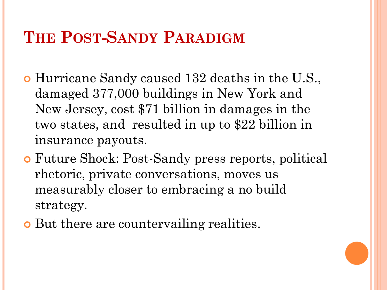#### **THE POST-SANDY PARADIGM**

- Hurricane Sandy caused 132 deaths in the U.S., damaged 377,000 buildings in New York and New Jersey, cost \$71 billion in damages in the two states, and resulted in up to \$22 billion in insurance payouts.
- Future Shock: Post-Sandy press reports, political rhetoric, private conversations, moves us measurably closer to embracing a no build strategy.
- **o** But there are countervailing realities.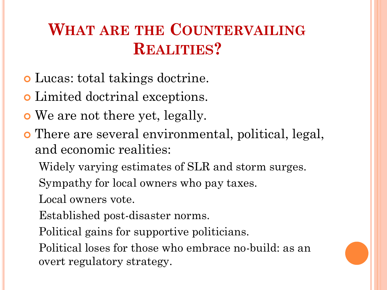### **WHAT ARE THE COUNTERVAILING REALITIES?**

- Lucas: total takings doctrine.
- Limited doctrinal exceptions.
- We are not there yet, legally.
- There are several environmental, political, legal, and economic realities:

Widely varying estimates of SLR and storm surges. Sympathy for local owners who pay taxes.

Local owners vote.

Established post-disaster norms.

Political gains for supportive politicians.

Political loses for those who embrace no-build: as an overt regulatory strategy.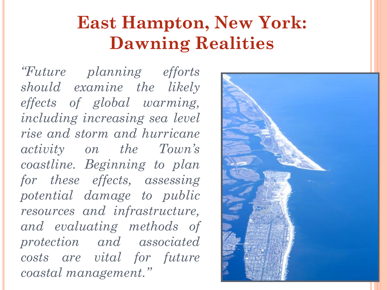# **East Hampton, New York: Dawning Realities**

*"Future planning efforts should examine the likely effects of global warming, including increasing sea level rise and storm and hurricane activity on the Town's coastline. Beginning to plan for these effects, assessing potential damage to public resources and infrastructure, and evaluating methods of protection and associated costs are vital for future coastal management."*

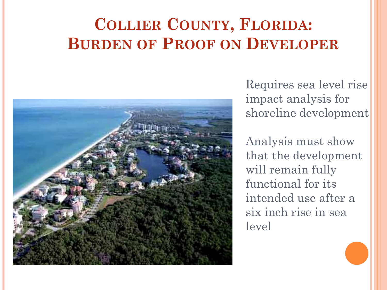### **COLLIER COUNTY, FLORIDA: BURDEN OF PROOF ON DEVELOPER**



Requires sea level rise impact analysis for shoreline development

Analysis must show that the development will remain fully functional for its intended use after a six inch rise in sea level